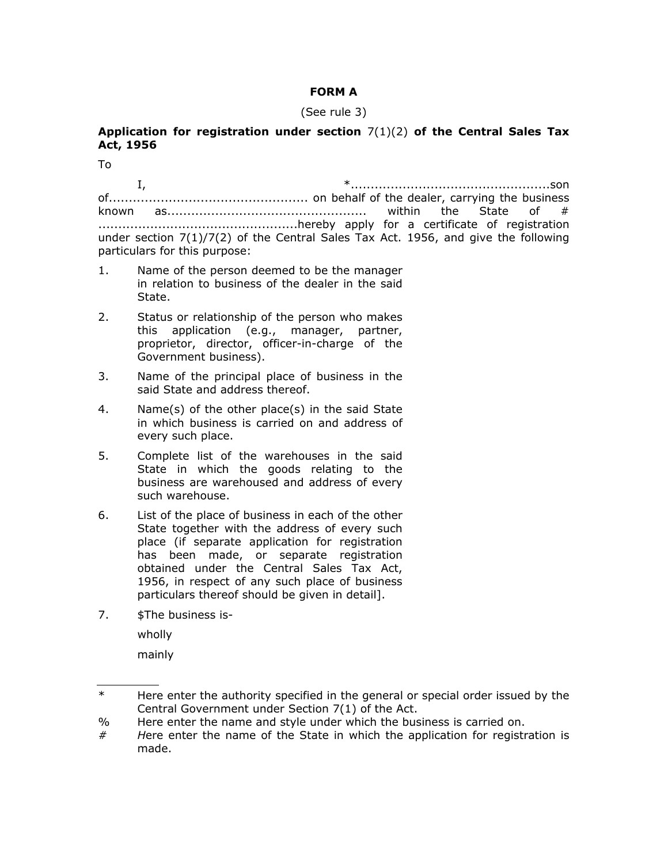## **FORM A**

## (See rule 3)

## **Application for registration under section** 7(1)(2) **of the Central Sales Tax Act, 1956**

To

I, \*..................................................son

of.................................................. on behalf of the dealer, carrying the business known as.................................................. within the State of # ..................................................hereby apply for a certificate of registration under section 7(1)/7(2) of the Central Sales Tax Act. 1956, and give the following particulars for this purpose:

- 1. Name of the person deemed to be the manager in relation to business of the dealer in the said State.
- 2. Status or relationship of the person who makes this application (e.g., manager, partner, proprietor, director, officer-in-charge of the Government business).
- 3. Name of the principal place of business in the said State and address thereof.
- 4. Name(s) of the other place(s) in the said State in which business is carried on and address of every such place.
- 5. Complete list of the warehouses in the said State in which the goods relating to the business are warehoused and address of every such warehouse.
- 6. List of the place of business in each of the other State together with the address of every such place (if separate application for registration has been made, or separate registration obtained under the Central Sales Tax Act, 1956, in respect of any such place of business particulars thereof should be given in detail].
- 7. \$The business is-

wholly

mainly

<sup>\*</sup> Here enter the authority specified in the general or special order issued by the Central Government under Section 7(1) of the Act.

<sup>%</sup> Here enter the name and style under which the business is carried on.

*<sup>#</sup> H*ere enter the name of the State in which the application for registration is made.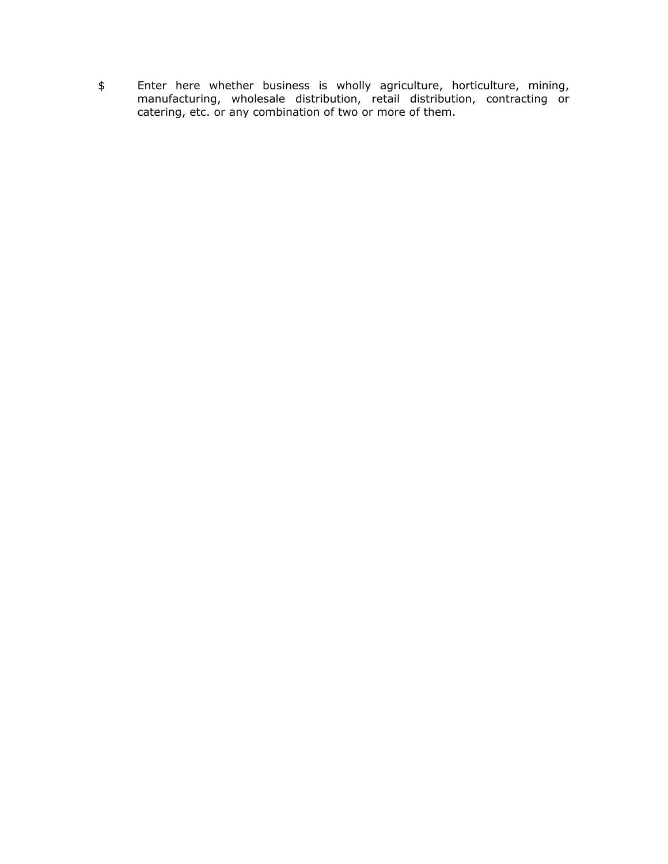\$ Enter here whether business is wholly agriculture, horticulture, mining, manufacturing, wholesale distribution, retail distribution, contracting or catering, etc. or any combination of two or more of them.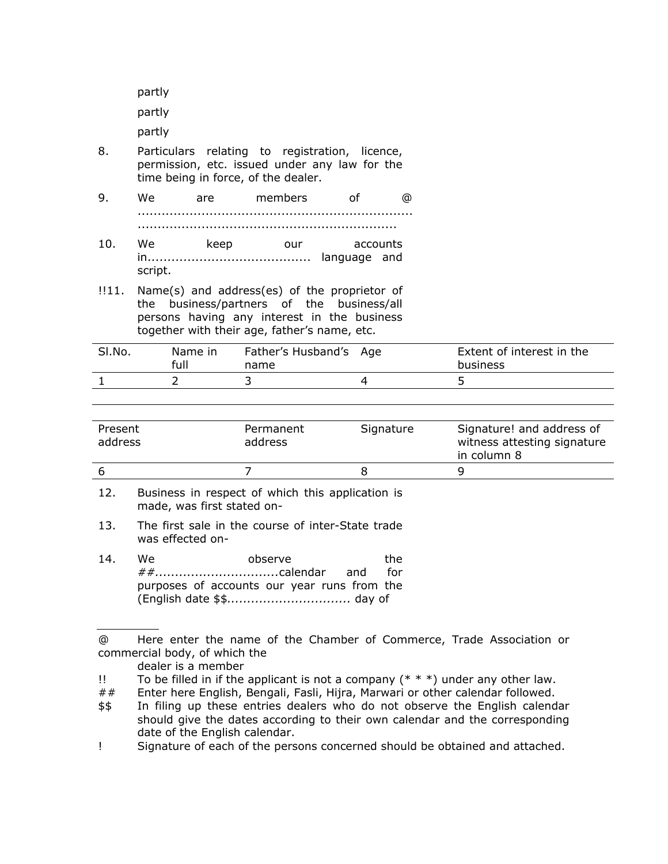partly

partly

partly

- 8. Particulars relating to registration, licence, permission, etc. issued under any law for the time being in force, of the dealer.
- 9. We are members of @ ..................................................................... ................................................................. 10. We keep our accounts
- in......................................... language and script.
- !!11. Name(s) and address(es) of the proprietor of the business/partners of the business/all persons having any interest in the business together with their age, father's name, etc.

| SI.No. | Name in<br>full | Father's Husband's Age<br>name | Extent of interest in the<br>business |
|--------|-----------------|--------------------------------|---------------------------------------|
|        |                 |                                |                                       |

| Present<br>address | Permanent<br>address | Signature | Signature! and address of<br>witness attesting signature<br>in column 8 |
|--------------------|----------------------|-----------|-------------------------------------------------------------------------|
|                    |                      |           | ч                                                                       |

- 12. Business in respect of which this application is made, was first stated on-
- 13. The first sale in the course of inter-State trade was effected on-
- 14. We observe the *##...............................*calendar and for purposes of accounts our year runs from the (English date \$\$*...............................* day of

dealer is a member

## Enter here English, Bengali, Fasli, Hijra, Marwari or other calendar followed.

<sup>@</sup> Here enter the name of the Chamber of Commerce, Trade Association or commercial body, of which the

<sup>!!</sup> To be filled in if the applicant is not a company  $(* * * )$  under any other law.

<sup>\$\$</sup> In filing up these entries dealers who do not observe the English calendar should give the dates according to their own calendar and the corresponding date of the English calendar.

<sup>!</sup> Signature of each of the persons concerned should be obtained and attached.